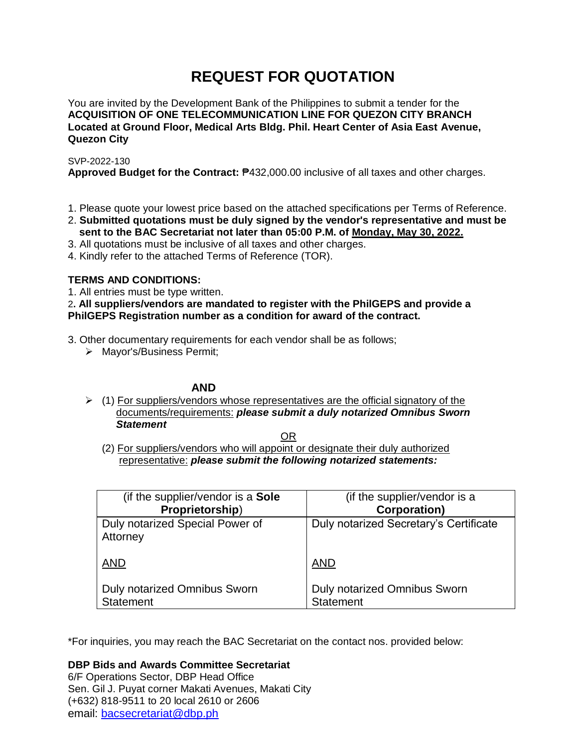# **REQUEST FOR QUOTATION**

You are invited by the Development Bank of the Philippines to submit a tender for the **ACQUISITION OF ONE TELECOMMUNICATION LINE FOR QUEZON CITY BRANCH Located at Ground Floor, Medical Arts Bldg. Phil. Heart Center of Asia East Avenue, Quezon City**

SVP-2022-130

**Approved Budget for the Contract:** ₱432,000.00 inclusive of all taxes and other charges.

- 1. Please quote your lowest price based on the attached specifications per Terms of Reference.
- 2. **Submitted quotations must be duly signed by the vendor's representative and must be sent to the BAC Secretariat not later than 05:00 P.M. of Monday, May 30, 2022.**
- 3. All quotations must be inclusive of all taxes and other charges.
- 4. Kindly refer to the attached Terms of Reference (TOR).

# **TERMS AND CONDITIONS:**

1. All entries must be type written.

2**. All suppliers/vendors are mandated to register with the PhilGEPS and provide a PhilGEPS Registration number as a condition for award of the contract.**

3. Other documentary requirements for each vendor shall be as follows;

> Mayor's/Business Permit;

# **AND**

 $\geq$  (1) For suppliers/vendors whose representatives are the official signatory of the documents/requirements: *please submit a duly notarized Omnibus Sworn Statement*

<u>OR Starting and the Starting OR Starting</u>

(2) For suppliers/vendors who will appoint or designate their duly authorized representative: *please submit the following notarized statements:*

| (if the supplier/vendor is a Sole           | (if the supplier/vendor is a           |
|---------------------------------------------|----------------------------------------|
| Proprietorship)                             | <b>Corporation)</b>                    |
| Duly notarized Special Power of<br>Attorney | Duly notarized Secretary's Certificate |
| <b>AND</b>                                  | <b>AND</b>                             |
| Duly notarized Omnibus Sworn                | <b>Duly notarized Omnibus Sworn</b>    |
| <b>Statement</b>                            | <b>Statement</b>                       |

\*For inquiries, you may reach the BAC Secretariat on the contact nos. provided below:

**DBP Bids and Awards Committee Secretariat**  6/F Operations Sector, DBP Head Office Sen. Gil J. Puyat corner Makati Avenues, Makati City (+632) 818-9511 to 20 local 2610 or 2606

email: [bacsecretariat@dbp.ph](mailto:bacsecretariat@dbp.ph)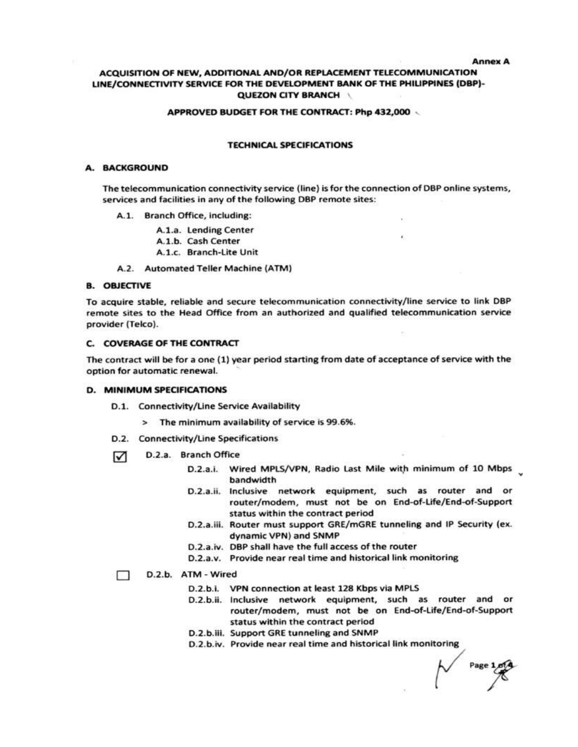**Annex A** 

### ACQUISITION OF NEW, ADDITIONAL AND/OR REPLACEMENT TELECOMMUNICATION LINE/CONNECTIVITY SERVICE FOR THE DEVELOPMENT BANK OF THE PHILIPPINES (DBP)-**QUEZON CITY BRANCH \**

#### APPROVED BUDGET FOR THE CONTRACT: Php 432,000

#### **TECHNICAL SPECIFICATIONS**

#### A. BACKGROUND

The telecommunication connectivity service (line) is for the connection of DBP online systems, services and facilities in any of the following DBP remote sites:

- A.1. Branch Office, including:
	- A.1.a. Lending Center
	- A.1.b. Cash Center
	- A.1.c. Branch-Lite Unit
- A.2. Automated Teller Machine (ATM)

#### **B. OBJECTIVE**

To acquire stable, reliable and secure telecommunication connectivity/line service to link DBP remote sites to the Head Office from an authorized and qualified telecommunication service provider (Telco).

#### **C. COVERAGE OF THE CONTRACT**

The contract will be for a one (1) year period starting from date of acceptance of service with the option for automatic renewal.

#### **D. MINIMUM SPECIFICATIONS**

- D.1. Connectivity/Line Service Availability
	- > The minimum availability of service is 99.6%.
- D.2. Connectivity/Line Specifications
- ☑ D.2.a. Branch Office
	- D.2.a.i. Wired MPLS/VPN, Radio Last Mile with minimum of 10 Mbps bandwidth
	- D.2.a.ii. Inclusive network equipment, such as router and or router/modem, must not be on End-of-Life/End-of-Support status within the contract period
	- D.2.a.iii. Router must support GRE/mGRE tunneling and IP Security (ex. dynamic VPN) and SNMP
	- D.2.a.iv. DBP shall have the full access of the router
	- D.2.a.v. Provide near real time and historical link monitoring

#### D.2.b. ATM - Wired  $\Box$

- D.2.b.i. VPN connection at least 128 Kbps via MPLS
- D.2.b.ii. Inclusive network equipment, such as router and or router/modem, must not be on End-of-Life/End-of-Support status within the contract period
- D.2.b.iii. Support GRE tunneling and SNMP
- D.2.b.iv. Provide near real time and historical link monitoring

Page 1.014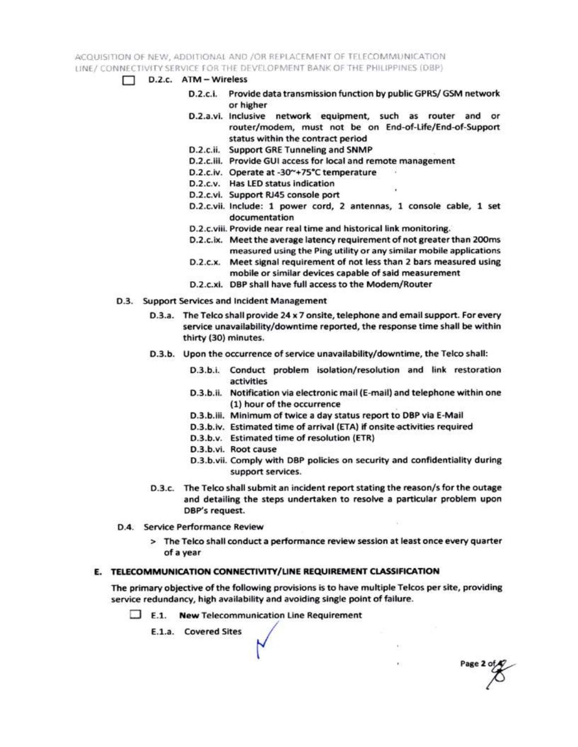ACQUISITION OF NEW, ADDITIONAL AND /OR REPLACEMENT OF TELECOMMUNICATION LINE / CONNECTIVITY SERVICE FOR THE DEVELOPMENT BANK OF THE PHILIPPINES (DBP)

- $\Box$  D.2.c.  $ATM Wireless$ 
	- D.2.c.i. Provide data transmission function by public GPRS/ GSM network or higher
	- D.2.a.vi. Inclusive network equipment, such as router and or router/modem, must not be on End-of-Life/End-of-Support status within the contract period
	- D.2.c.ii. Support GRE Tunneling and SNMP
	- D.2.c.iii. Provide GUI access for local and remote management
	- D.2.c.iv. Operate at -30~+75°C temperature
	- D.2.c.v. Has LED status indication
	- D.2.c.vi. Support RJ45 console port
	- D.2.c.vii. Include: 1 power cord, 2 antennas, 1 console cable, 1 set documentation
	- D.2.c.viii. Provide near real time and historical link monitoring.
	- D.2.c.ix. Meet the average latency requirement of not greater than 200ms measured using the Ping utility or any similar mobile applications
	- D.2.c.x. Meet signal requirement of not less than 2 bars measured using mobile or similar devices capable of said measurement
	- D.2.c.xi. DBP shall have full access to the Modem/Router
- D.3. Support Services and Incident Management
	- D.3.a. The Telco shall provide 24 x 7 onsite, telephone and email support. For every service unavailability/downtime reported, the response time shall be within thirty (30) minutes.
	- D.3.b. Upon the occurrence of service unavailability/downtime, the Telco shall:
		- D.3.b.i. Conduct problem isolation/resolution and link restoration activities
		- D.3.b.ii. Notification via electronic mail (E-mail) and telephone within one (1) hour of the occurrence
		- D.3.b.iii. Minimum of twice a day status report to DBP via E-Mail
		- D.3.b.iv. Estimated time of arrival (ETA) if onsite activities required
		- D.3.b.v. Estimated time of resolution (ETR)
		- D.3.b.vi. Root cause
		- D.3.b.vii. Comply with DBP policies on security and confidentiality during support services.

Page 2 of

- D.3.c. The Telco shall submit an incident report stating the reason/s for the outage and detailing the steps undertaken to resolve a particular problem upon DBP's request.
- D.4. Service Performance Review
	- > The Telco shall conduct a performance review session at least once every quarter of a year

### E. TELECOMMUNICATION CONNECTIVITY/LINE REQUIREMENT CLASSIFICATION

The primary objective of the following provisions is to have multiple Telcos per site, providing service redundancy, high availability and avoiding single point of failure.

 $\Box$  E.1. New Telecommunication Line Requirement

E.1.a. Covered Sites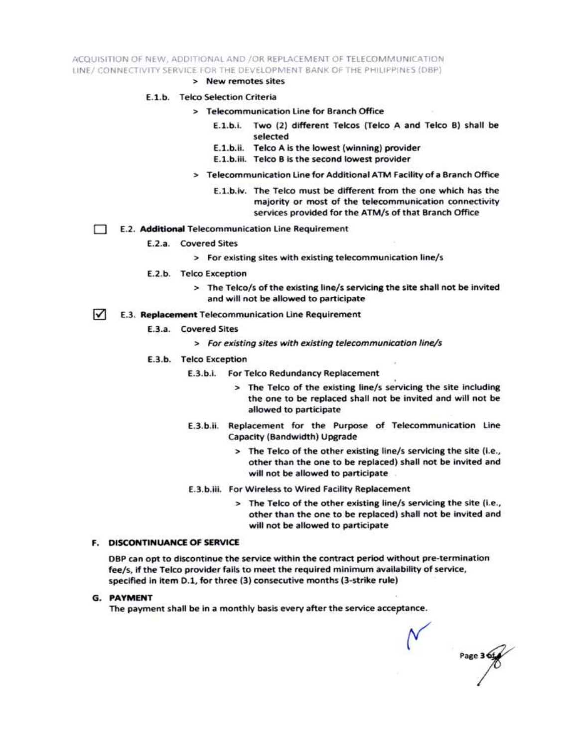ACQUISITION OF NEW, ADDITIONAL AND /OR REPLACEMENT OF TELECOMMUNICATION LINE/ CONNECTIVITY SERVICE FOR THE DEVELOPMENT BANK OF THE PHILIPPINES (DBP)

> New remotes sites

#### E.1.b. Telco Selection Criteria

- > Telecommunication Line for Branch Office
	- E.1.b.i. Two (2) different Telcos (Telco A and Telco B) shall be selected
	- E.1.b.ii. Telco A is the lowest (winning) provider
	- E.1.b.iii. Telco B is the second lowest provider
- > Telecommunication Line for Additional ATM Facility of a Branch Office
	- E.1.b.iv. The Telco must be different from the one which has the majority or most of the telecommunication connectivity services provided for the ATM/s of that Branch Office
- E.2. Additional Telecommunication Line Requirement Ð
	- E.2.a. Covered Sites
		- > For existing sites with existing telecommunication line/s
	- E.2.b. Telco Exception
		- > The Telco/s of the existing line/s servicing the site shall not be invited and will not be allowed to participate
- $\sqrt{ }$ E.3. Replacement Telecommunication Line Requirement
	- E.3.a. Covered Sites
		- > For existing sites with existing telecommunication line/s
	- E.3.b. Telco Exception
		- E.3.b.i. For Telco Redundancy Replacement
			- > The Telco of the existing line/s servicing the site including the one to be replaced shall not be invited and will not be allowed to participate
		- E.3.b.ii. Replacement for the Purpose of Telecommunication Line Capacity (Bandwidth) Upgrade
			- > The Telco of the other existing line/s servicing the site (i.e., other than the one to be replaced) shall not be invited and will not be allowed to participate
		- E.3.b.iii. For Wireless to Wired Facility Replacement
			- > The Telco of the other existing line/s servicing the site (i.e., other than the one to be replaced) shall not be invited and will not be allowed to participate

#### **F. DISCONTINUANCE OF SERVICE**

DBP can opt to discontinue the service within the contract period without pre-termination fee/s, if the Telco provider fails to meet the required minimum availability of service, specified in item D.1, for three (3) consecutive months (3-strike rule)

**G. PAYMENT** 

The payment shall be in a monthly basis every after the service acceptance.

Page 3 6t